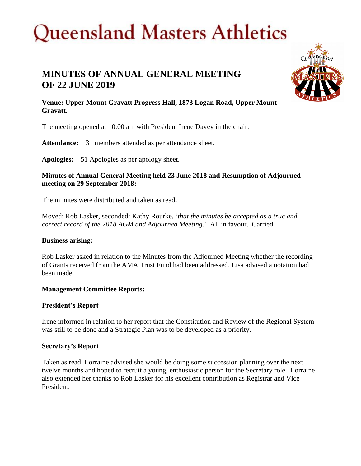### **MINUTES OF ANNUAL GENERAL MEETING OF 22 JUNE 2019**



**Venue: Upper Mount Gravatt Progress Hall, 1873 Logan Road, Upper Mount Gravatt.**

The meeting opened at 10:00 am with President Irene Davey in the chair.

Attendance: 31 members attended as per attendance sheet.

**Apologies:** 51 Apologies as per apology sheet.

#### **Minutes of Annual General Meeting held 23 June 2018 and Resumption of Adjourned meeting on 29 September 2018:**

The minutes were distributed and taken as read**.**

Moved: Rob Lasker, seconded: Kathy Rourke, '*that the minutes be accepted as a true and correct record of the 2018 AGM and Adjourned Meeting.*' All in favour. Carried.

#### **Business arising:**

Rob Lasker asked in relation to the Minutes from the Adjourned Meeting whether the recording of Grants received from the AMA Trust Fund had been addressed. Lisa advised a notation had been made.

#### **Management Committee Reports:**

#### **President's Report**

Irene informed in relation to her report that the Constitution and Review of the Regional System was still to be done and a Strategic Plan was to be developed as a priority.

#### **Secretary's Report**

Taken as read. Lorraine advised she would be doing some succession planning over the next twelve months and hoped to recruit a young, enthusiastic person for the Secretary role. Lorraine also extended her thanks to Rob Lasker for his excellent contribution as Registrar and Vice President.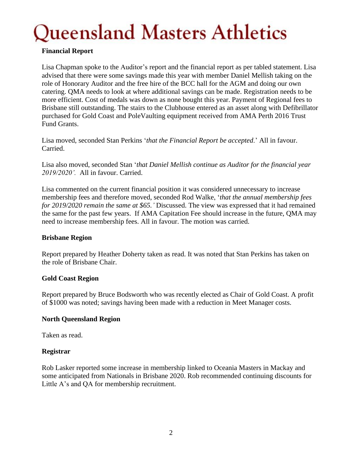#### **Financial Report**

Lisa Chapman spoke to the Auditor's report and the financial report as per tabled statement. Lisa advised that there were some savings made this year with member Daniel Mellish taking on the role of Honorary Auditor and the free hire of the BCC hall for the AGM and doing our own catering. QMA needs to look at where additional savings can be made. Registration needs to be more efficient. Cost of medals was down as none bought this year. Payment of Regional fees to Brisbane still outstanding. The stairs to the Clubhouse entered as an asset along with Defibrillator purchased for Gold Coast and PoleVaulting equipment received from AMA Perth 2016 Trust Fund Grants.

Lisa moved, seconded Stan Perkins '*that the Financial Report be accepted*.' All in favour. Carried.

Lisa also moved, seconded Stan '*that Daniel Mellish continue as Auditor for the financial year 2019/2020'.* All in favour. Carried.

Lisa commented on the current financial position it was considered unnecessary to increase membership fees and therefore moved, seconded Rod Walke, '*that the annual membership fees for 2019/2020 remain the same at \$65.'* Discussed. The view was expressed that it had remained the same for the past few years. If AMA Capitation Fee should increase in the future, QMA may need to increase membership fees. All in favour. The motion was carried.

#### **Brisbane Region**

Report prepared by Heather Doherty taken as read. It was noted that Stan Perkins has taken on the role of Brisbane Chair.

#### **Gold Coast Region**

Report prepared by Bruce Bodsworth who was recently elected as Chair of Gold Coast. A profit of \$1000 was noted; savings having been made with a reduction in Meet Manager costs.

#### **North Queensland Region**

Taken as read.

#### **Registrar**

Rob Lasker reported some increase in membership linked to Oceania Masters in Mackay and some anticipated from Nationals in Brisbane 2020. Rob recommended continuing discounts for Little A's and QA for membership recruitment.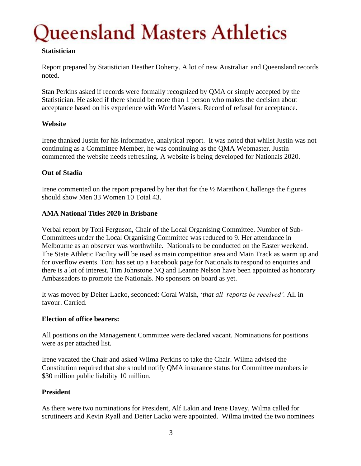#### **Statistician**

Report prepared by Statistician Heather Doherty. A lot of new Australian and Queensland records noted.

Stan Perkins asked if records were formally recognized by QMA or simply accepted by the Statistician. He asked if there should be more than 1 person who makes the decision about acceptance based on his experience with World Masters. Record of refusal for acceptance.

#### **Website**

Irene thanked Justin for his informative, analytical report. It was noted that whilst Justin was not continuing as a Committee Member, he was continuing as the QMA Webmaster. Justin commented the website needs refreshing. A website is being developed for Nationals 2020.

#### **Out of Stadia**

Irene commented on the report prepared by her that for the ½ Marathon Challenge the figures should show Men 33 Women 10 Total 43.

#### **AMA National Titles 2020 in Brisbane**

Verbal report by Toni Ferguson, Chair of the Local Organising Committee. Number of Sub-Committees under the Local Organising Committee was reduced to 9. Her attendance in Melbourne as an observer was worthwhile. Nationals to be conducted on the Easter weekend. The State Athletic Facility will be used as main competition area and Main Track as warm up and for overflow events. Toni has set up a Facebook page for Nationals to respond to enquiries and there is a lot of interest. Tim Johnstone NQ and Leanne Nelson have been appointed as honorary Ambassadors to promote the Nationals. No sponsors on board as yet.

It was moved by Deiter Lacko, seconded: Coral Walsh, '*that all reports be received'.* All in favour. Carried.

#### **Election of office bearers:**

All positions on the Management Committee were declared vacant. Nominations for positions were as per attached list.

Irene vacated the Chair and asked Wilma Perkins to take the Chair. Wilma advised the Constitution required that she should notify QMA insurance status for Committee members ie \$30 million public liability 10 million.

#### **President**

As there were two nominations for President, Alf Lakin and Irene Davey, Wilma called for scrutineers and Kevin Ryall and Deiter Lacko were appointed. Wilma invited the two nominees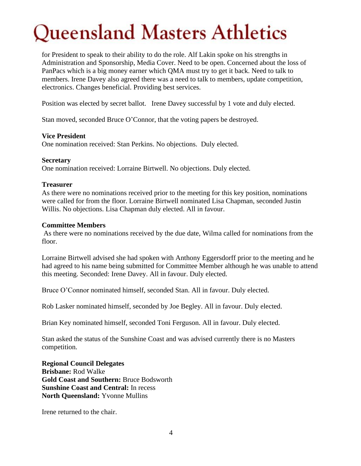for President to speak to their ability to do the role. Alf Lakin spoke on his strengths in Administration and Sponsorship, Media Cover. Need to be open. Concerned about the loss of PanPacs which is a big money earner which QMA must try to get it back. Need to talk to members. Irene Davey also agreed there was a need to talk to members, update competition, electronics. Changes beneficial. Providing best services.

Position was elected by secret ballot. Irene Davey successful by 1 vote and duly elected.

Stan moved, seconded Bruce O'Connor, that the voting papers be destroyed.

#### **Vice President**

One nomination received: Stan Perkins. No objections. Duly elected.

#### **Secretary**

One nomination received: Lorraine Birtwell. No objections. Duly elected.

#### **Treasurer**

As there were no nominations received prior to the meeting for this key position, nominations were called for from the floor. Lorraine Birtwell nominated Lisa Chapman, seconded Justin Willis. No objections. Lisa Chapman duly elected. All in favour.

#### **Committee Members**

As there were no nominations received by the due date, Wilma called for nominations from the floor.

Lorraine Birtwell advised she had spoken with Anthony Eggersdorff prior to the meeting and he had agreed to his name being submitted for Committee Member although he was unable to attend this meeting. Seconded: Irene Davey. All in favour. Duly elected.

Bruce O'Connor nominated himself, seconded Stan. All in favour. Duly elected.

Rob Lasker nominated himself, seconded by Joe Begley. All in favour. Duly elected.

Brian Key nominated himself, seconded Toni Ferguson. All in favour. Duly elected.

Stan asked the status of the Sunshine Coast and was advised currently there is no Masters competition.

**Regional Council Delegates Brisbane:** Rod Walke **Gold Coast and Southern:** Bruce Bodsworth **Sunshine Coast and Central:** In recess **North Queensland:** Yvonne Mullins

Irene returned to the chair.